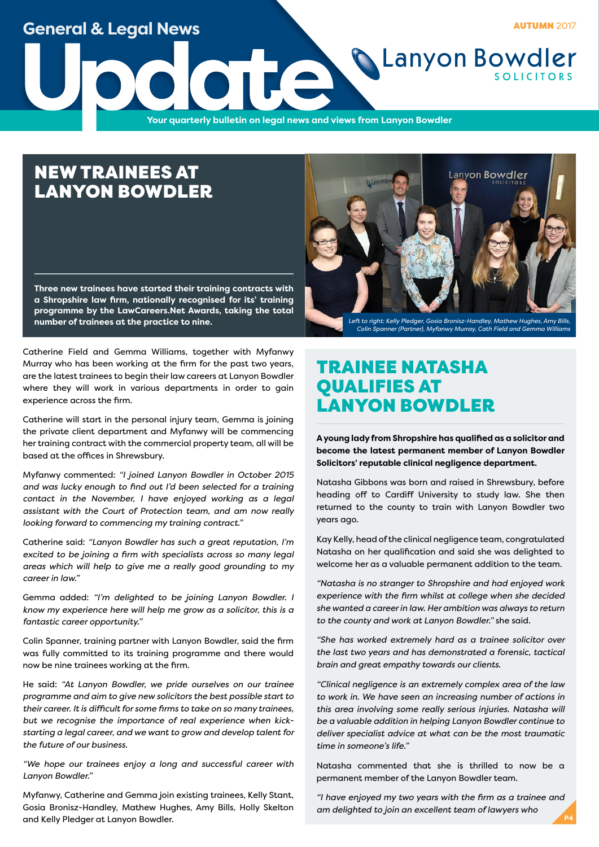### **General & Legal News**

**AUTUMN 2017** 

**Update**<br>The Vour quarterly bulletin on legal news and v **Your quarterly bulletin on legal news and views from Lanyon Bowdler**

# NEW TRAINEES AT LANYON BOWDLER

**Three new trainees have started their training contracts with a Shropshire law firm, nationally recognised for its' training programme by the LawCareers.Net Awards, taking the total number of trainees at the practice to nine.**



*Colin Spanner (Partner), Myfanwy Murray, Cath Field and Gemma Williams*

**Lanyon Bowdler** 

Catherine Field and Gemma Williams, together with Myfanwy Murray who has been working at the firm for the past two years, are the latest trainees to begin their law careers at Lanyon Bowdler where they will work in various departments in order to gain experience across the firm.

Catherine will start in the personal injury team, Gemma is joining the private client department and Myfanwy will be commencing her training contract with the commercial property team, all will be based at the offices in Shrewsbury.

Myfanwy commented: *"I joined Lanyon Bowdler in October 2015 and was lucky enough to find out I'd been selected for a training contact in the November, I have enjoyed working as a legal assistant with the Court of Protection team, and am now really looking forward to commencing my training contract."*

Catherine said: *"Lanyon Bowdler has such a great reputation, I'm excited to be joining a firm with specialists across so many legal areas which will help to give me a really good grounding to my career in law."*

Gemma added: *"I'm delighted to be joining Lanyon Bowdler. I know my experience here will help me grow as a solicitor, this is a fantastic career opportunity."*

Colin Spanner, training partner with Lanyon Bowdler, said the firm was fully committed to its training programme and there would now be nine trainees working at the firm.

He said: *"At Lanyon Bowdler, we pride ourselves on our trainee programme and aim to give new solicitors the best possible start to their career. It is difficult for some firms to take on so many trainees, but we recognise the importance of real experience when kickstarting a legal career, and we want to grow and develop talent for the future of our business.*

*"We hope our trainees enjoy a long and successful career with Lanyon Bowdler."*

Myfanwy, Catherine and Gemma join existing trainees, Kelly Stant, Gosia Bronisz-Handley, Mathew Hughes, Amy Bills, Holly Skelton and Kelly Pledger at Lanyon Bowdler.

### TRAINEE NATASHA QUALIFIES AT LANYON BOWDLER

**A young lady from Shropshire has qualified as a solicitor and become the latest permanent member of Lanyon Bowdler Solicitors' reputable clinical negligence department.**

Natasha Gibbons was born and raised in Shrewsbury, before heading off to Cardiff University to study law. She then returned to the county to train with Lanyon Bowdler two years ago.

Kay Kelly, head of the clinical negligence team, congratulated Natasha on her qualification and said she was delighted to welcome her as a valuable permanent addition to the team.

*"Natasha is no stranger to Shropshire and had enjoyed work experience with the firm whilst at college when she decided she wanted a career in law. Her ambition was always to return to the county and work at Lanyon Bowdler."* she said.

*"She has worked extremely hard as a trainee solicitor over the last two years and has demonstrated a forensic, tactical brain and great empathy towards our clients.* 

*"Clinical negligence is an extremely complex area of the law to work in. We have seen an increasing number of actions in this area involving some really serious injuries. Natasha will be a valuable addition in helping Lanyon Bowdler continue to deliver specialist advice at what can be the most traumatic time in someone's life."*

Natasha commented that she is thrilled to now be a permanent member of the Lanyon Bowdler team.

*"I have enjoyed my two years with the firm as a trainee and am delighted to join an excellent team of lawyers who* **P4**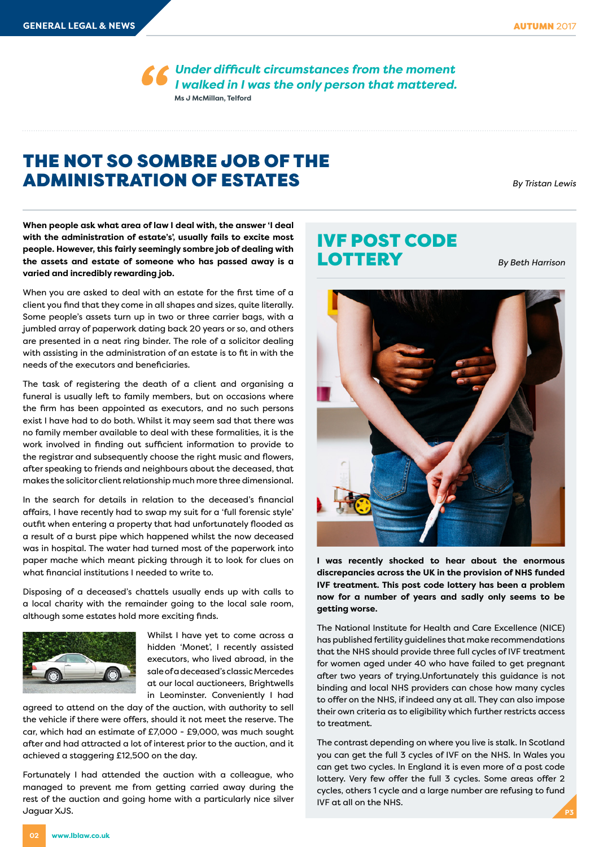*Under difficult circumstances from the moment I walked in I was the only person that mattered.* **Ms J McMillan, Telford**

### THE NOT SO SOMBRE JOB OF THE ADMINISTRATION OF ESTATES

*By Tristan Lewis*

**When people ask what area of law I deal with, the answer 'I deal with the administration of estate's', usually fails to excite most people. However, this fairly seemingly sombre job of dealing with the assets and estate of someone who has passed away is a varied and incredibly rewarding job.**

When you are asked to deal with an estate for the first time of a client you find that they come in all shapes and sizes, quite literally. Some people's assets turn up in two or three carrier bags, with a jumbled array of paperwork dating back 20 years or so, and others are presented in a neat ring binder. The role of a solicitor dealing with assisting in the administration of an estate is to fit in with the needs of the executors and beneficiaries.

The task of registering the death of a client and organising a funeral is usually left to family members, but on occasions where the firm has been appointed as executors, and no such persons exist I have had to do both. Whilst it may seem sad that there was no family member available to deal with these formalities, it is the work involved in finding out sufficient information to provide to the registrar and subsequently choose the right music and flowers, after speaking to friends and neighbours about the deceased, that makes the solicitor client relationship much more three dimensional.

In the search for details in relation to the deceased's financial affairs, I have recently had to swap my suit for a 'full forensic style' outfit when entering a property that had unfortunately flooded as a result of a burst pipe which happened whilst the now deceased was in hospital. The water had turned most of the paperwork into paper mache which meant picking through it to look for clues on what financial institutions I needed to write to.

Disposing of a deceased's chattels usually ends up with calls to a local charity with the remainder going to the local sale room, although some estates hold more exciting finds.



Whilst I have yet to come across a hidden 'Monet', I recently assisted executors, who lived abroad, in the sale of a deceased's classic Mercedes at our local auctioneers, Brightwells in Leominster. Conveniently I had

agreed to attend on the day of the auction, with authority to sell the vehicle if there were offers, should it not meet the reserve. The car, which had an estimate of £7,000 - £9,000, was much sought after and had attracted a lot of interest prior to the auction, and it achieved a staggering £12,500 on the day.

Fortunately I had attended the auction with a colleague, who managed to prevent me from getting carried away during the rest of the auction and going home with a particularly nice silver Jaguar XJS.

## IVF POST CODE **LOTTERY**

*By Beth Harrison*



**I was recently shocked to hear about the enormous discrepancies across the UK in the provision of NHS funded IVF treatment. This post code lottery has been a problem now for a number of years and sadly only seems to be getting worse.** 

The National Institute for Health and Care Excellence (NICE) has published fertility guidelines that make recommendations that the NHS should provide three full cycles of IVF treatment for women aged under 40 who have failed to get pregnant after two years of trying.Unfortunately this guidance is not binding and local NHS providers can chose how many cycles to offer on the NHS, if indeed any at all. They can also impose their own criteria as to eligibility which further restricts access to treatment.

The contrast depending on where you live is stalk. In Scotland you can get the full 3 cycles of IVF on the NHS. In Wales you can get two cycles. In England it is even more of a post code lottery. Very few offer the full 3 cycles. Some areas offer 2 cycles, others 1 cycle and a large number are refusing to fund IVF at all on the NHS.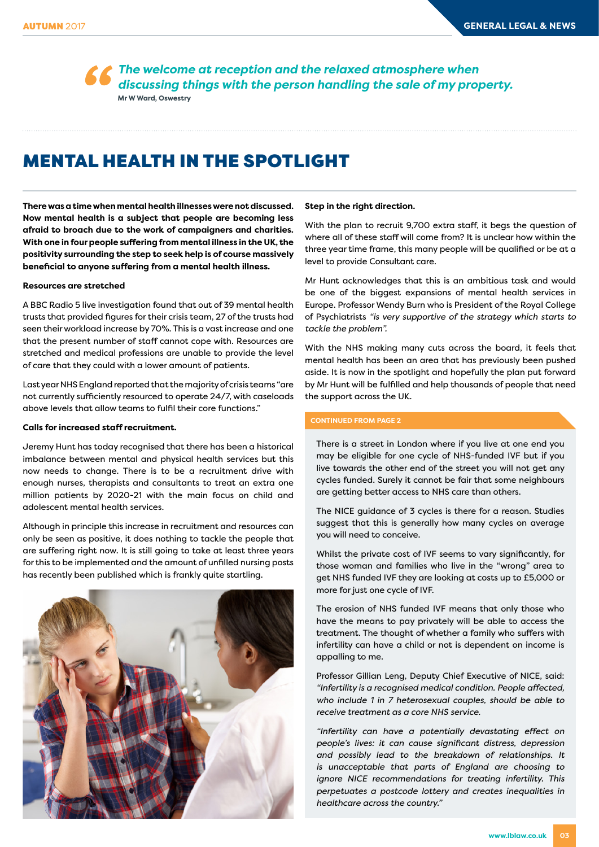*The welcome at reception and the relaxed atmosphere when discussing things with the person handling the sale of my property.* **Mr W Ward, Oswestry**

### MENTAL HEALTH IN THE SPOTLIGHT

**There was a time when mental health illnesses were not discussed. Now mental health is a subject that people are becoming less afraid to broach due to the work of campaigners and charities. With one in four people suffering from mental illness in the UK, the positivity surrounding the step to seek help is of course massively beneficial to anyone suffering from a mental health illness.**

#### **Resources are stretched**

A BBC Radio 5 live investigation found that out of 39 mental health trusts that provided figures for their crisis team, 27 of the trusts had seen their workload increase by 70%. This is a vast increase and one that the present number of staff cannot cope with. Resources are stretched and medical professions are unable to provide the level of care that they could with a lower amount of patients.

Last year NHS England reported that the majority of crisis teams "are not currently sufficiently resourced to operate 24/7, with caseloads above levels that allow teams to fulfil their core functions."

#### **Calls for increased staff recruitment.**

Jeremy Hunt has today recognised that there has been a historical imbalance between mental and physical health services but this now needs to change. There is to be a recruitment drive with enough nurses, therapists and consultants to treat an extra one million patients by 2020-21 with the main focus on child and adolescent mental health services.

Although in principle this increase in recruitment and resources can only be seen as positive, it does nothing to tackle the people that are suffering right now. It is still going to take at least three years for this to be implemented and the amount of unfilled nursing posts has recently been published which is frankly quite startling.



#### **Step in the right direction.**

With the plan to recruit 9,700 extra staff, it begs the question of where all of these staff will come from? It is unclear how within the three year time frame, this many people will be qualified or be at a level to provide Consultant care.

Mr Hunt acknowledges that this is an ambitious task and would be one of the biggest expansions of mental health services in Europe. Professor Wendy Burn who is President of the Royal College of Psychiatrists *"is very supportive of the strategy which starts to tackle the problem".*

With the NHS making many cuts across the board, it feels that mental health has been an area that has previously been pushed aside. It is now in the spotlight and hopefully the plan put forward by Mr Hunt will be fulfilled and help thousands of people that need the support across the UK.

#### **CONTINUED FROM PAGE 2**

There is a street in London where if you live at one end you may be eligible for one cycle of NHS-funded IVF but if you live towards the other end of the street you will not get any cycles funded. Surely it cannot be fair that some neighbours are getting better access to NHS care than others.

The NICE guidance of 3 cycles is there for a reason. Studies suggest that this is generally how many cycles on average you will need to conceive.

Whilst the private cost of IVF seems to vary significantly, for those woman and families who live in the "wrong" area to get NHS funded IVF they are looking at costs up to £5,000 or more for just one cycle of IVF.

The erosion of NHS funded IVF means that only those who have the means to pay privately will be able to access the treatment. The thought of whether a family who suffers with infertility can have a child or not is dependent on income is appalling to me.

Professor Gillian Leng, Deputy Chief Executive of NICE, said: *"Infertility is a recognised medical condition. People affected, who include 1 in 7 heterosexual couples, should be able to receive treatment as a core NHS service.*

*"Infertility can have a potentially devastating effect on people's lives: it can cause significant distress, depression and possibly lead to the breakdown of relationships. It is unacceptable that parts of England are choosing to ignore NICE recommendations for treating infertility. This perpetuates a postcode lottery and creates inequalities in healthcare across the country."*